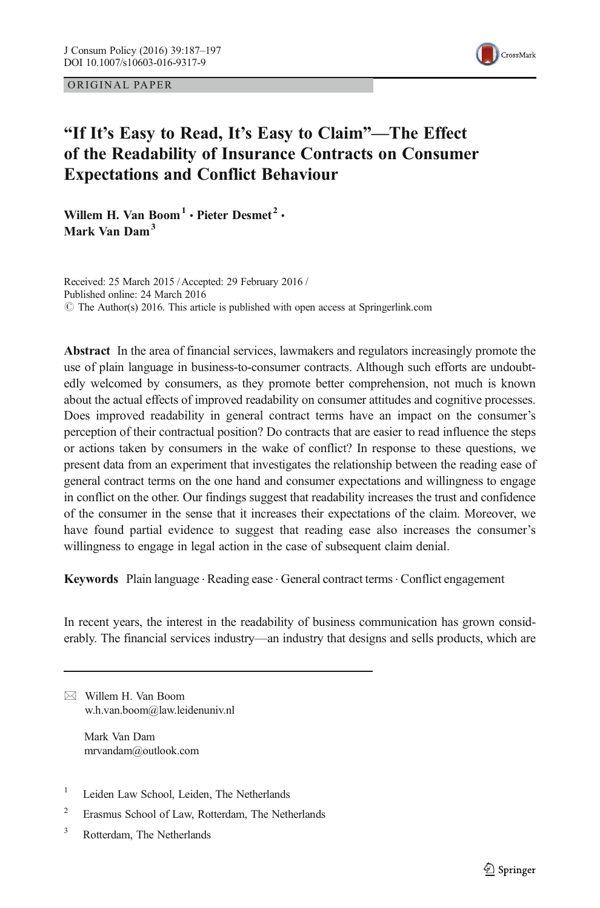ORIGINAL PAPER



# "If It's Easy to Read, It's Easy to Claim"—The Effect of the Readability of Insurance Contracts on Consumer Expectations and Conflict Behaviour

Willem H. Van Boom<sup>1</sup> · Pieter Desmet<sup>2</sup> · Mark Van Dam<sup>3</sup>

Received: 25 March 2015 /Accepted: 29 February 2016 / Published online: 24 March 2016  $\degree$  The Author(s) 2016. This article is published with open access at Springerlink.com

Abstract In the area of financial services, lawmakers and regulators increasingly promote the use of plain language in business-to-consumer contracts. Although such efforts are undoubtedly welcomed by consumers, as they promote better comprehension, not much is known about the actual effects of improved readability on consumer attitudes and cognitive processes. Does improved readability in general contract terms have an impact on the consumer's perception of their contractual position? Do contracts that are easier to read influence the steps or actions taken by consumers in the wake of conflict? In response to these questions, we present data from an experiment that investigates the relationship between the reading ease of general contract terms on the one hand and consumer expectations and willingness to engage in conflict on the other. Our findings suggest that readability increases the trust and confidence of the consumer in the sense that it increases their expectations of the claim. Moreover, we have found partial evidence to suggest that reading ease also increases the consumer's willingness to engage in legal action in the case of subsequent claim denial.

Keywords Plain language . Reading ease . General contract terms. Conflict engagement

In recent years, the interest in the readability of business communication has grown considerably. The financial services industry—an industry that designs and sells products, which are

 $\boxtimes$  Willem H. Van Boom w.h.van.boom@law.leidenuniv.nl

> Mark Van Dam mrvandam@outlook.com

- <sup>1</sup> Leiden Law School, Leiden, The Netherlands
- <sup>2</sup> Erasmus School of Law, Rotterdam, The Netherlands
- <sup>3</sup> Rotterdam, The Netherlands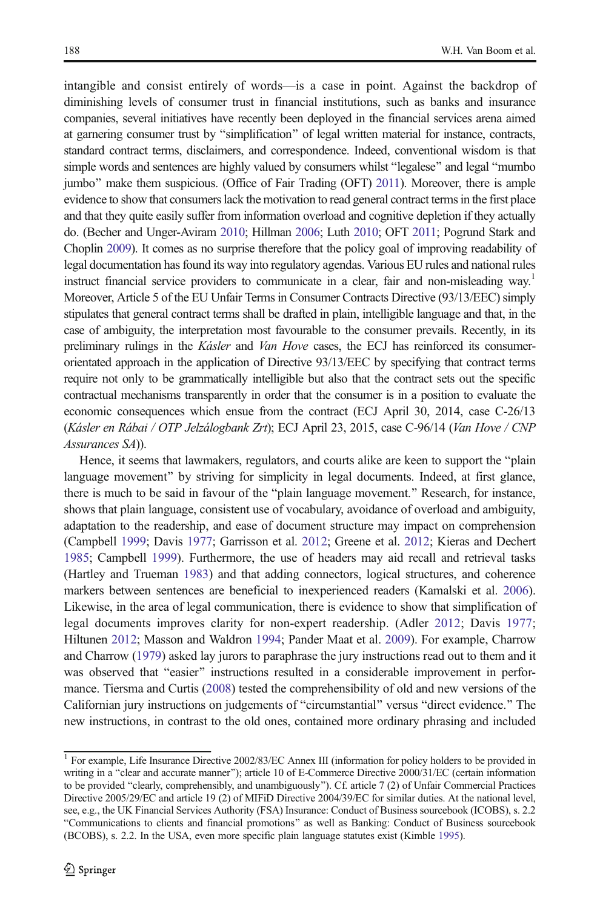intangible and consist entirely of words—is a case in point. Against the backdrop of diminishing levels of consumer trust in financial institutions, such as banks and insurance companies, several initiatives have recently been deployed in the financial services arena aimed at garnering consumer trust by "simplification" of legal written material for instance, contracts, standard contract terms, disclaimers, and correspondence. Indeed, conventional wisdom is that simple words and sentences are highly valued by consumers whilst "legalese" and legal "mumbo" jumbo" make them suspicious. (Office of Fair Trading (OFT) [2011](#page-10-0)). Moreover, there is ample evidence to show that consumers lack the motivation to read general contract terms in the first place and that they quite easily suffer from information overload and cognitive depletion if they actually do. (Becher and Unger-Aviram [2010](#page-9-0); Hillman [2006](#page-9-0); Luth [2010](#page-10-0); OFT [2011;](#page-10-0) Pogrund Stark and Choplin [2009](#page-10-0)). It comes as no surprise therefore that the policy goal of improving readability of legal documentation has found its way into regulatory agendas. Various EU rules and national rules instruct financial service providers to communicate in a clear, fair and non-misleading way.<sup>1</sup> Moreover, Article 5 of the EU Unfair Terms in Consumer Contracts Directive (93/13/EEC) simply stipulates that general contract terms shall be drafted in plain, intelligible language and that, in the case of ambiguity, the interpretation most favourable to the consumer prevails. Recently, in its preliminary rulings in the Kásler and Van Hove cases, the ECJ has reinforced its consumerorientated approach in the application of Directive 93/13/EEC by specifying that contract terms require not only to be grammatically intelligible but also that the contract sets out the specific contractual mechanisms transparently in order that the consumer is in a position to evaluate the economic consequences which ensue from the contract (ECJ April 30, 2014, case C-26/13 (Kásler en Rábai / OTP Jelzálogbank Zrt); ECJ April 23, 2015, case C-96/14 (Van Hove / CNP Assurances SA)).

Hence, it seems that lawmakers, regulators, and courts alike are keen to support the "plain" language movement" by striving for simplicity in legal documents. Indeed, at first glance, there is much to be said in favour of the "plain language movement." Research, for instance, shows that plain language, consistent use of vocabulary, avoidance of overload and ambiguity, adaptation to the readership, and ease of document structure may impact on comprehension (Campbell [1999](#page-9-0); Davis [1977;](#page-9-0) Garrisson et al. [2012;](#page-9-0) Greene et al. [2012;](#page-9-0) Kieras and Dechert [1985](#page-10-0); Campbell [1999\)](#page-9-0). Furthermore, the use of headers may aid recall and retrieval tasks (Hartley and Trueman [1983\)](#page-9-0) and that adding connectors, logical structures, and coherence markers between sentences are beneficial to inexperienced readers (Kamalski et al. [2006](#page-9-0)). Likewise, in the area of legal communication, there is evidence to show that simplification of legal documents improves clarity for non-expert readership. (Adler [2012;](#page-9-0) Davis [1977](#page-9-0); Hiltunen [2012](#page-9-0); Masson and Waldron [1994;](#page-10-0) Pander Maat et al. [2009\)](#page-10-0). For example, Charrow and Charrow ([1979](#page-9-0)) asked lay jurors to paraphrase the jury instructions read out to them and it was observed that "easier" instructions resulted in a considerable improvement in performance. Tiersma and Curtis [\(2008](#page-10-0)) tested the comprehensibility of old and new versions of the Californian jury instructions on judgements of "circumstantial" versus "direct evidence." The new instructions, in contrast to the old ones, contained more ordinary phrasing and included

<sup>&</sup>lt;sup>1</sup> For example, Life Insurance Directive 2002/83/EC Annex III (information for policy holders to be provided in writing in a "clear and accurate manner"); article 10 of E-Commerce Directive 2000/31/EC (certain information to be provided "clearly, comprehensibly, and unambiguously"). Cf. article 7 (2) of Unfair Commercial Practices Directive 2005/29/EC and article 19 (2) of MIFiD Directive 2004/39/EC for similar duties. At the national level, see, e.g., the UK Financial Services Authority (FSA) Insurance: Conduct of Business sourcebook (ICOBS), s. 2.2 "Communications to clients and financial promotions" as well as Banking: Conduct of Business sourcebook (BCOBS), s. 2.2. In the USA, even more specific plain language statutes exist (Kimble [1995\)](#page-10-0).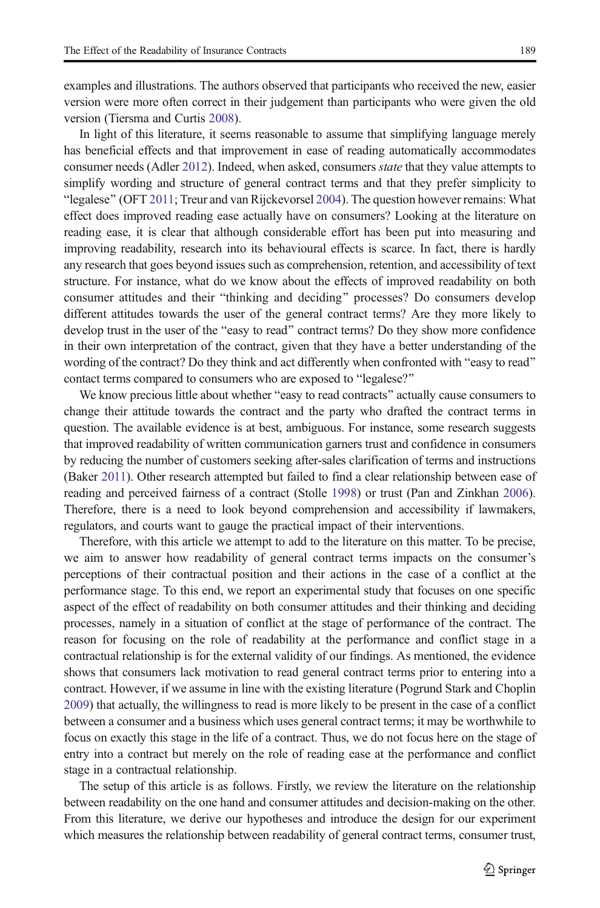examples and illustrations. The authors observed that participants who received the new, easier version were more often correct in their judgement than participants who were given the old version (Tiersma and Curtis [2008\)](#page-10-0).

In light of this literature, it seems reasonable to assume that simplifying language merely has beneficial effects and that improvement in ease of reading automatically accommodates consumer needs (Adler [2012](#page-9-0)). Indeed, when asked, consumers *state* that they value attempts to simplify wording and structure of general contract terms and that they prefer simplicity to "legalese" (OFT [2011;](#page-10-0) Treur and van Rijckevorsel [2004](#page-10-0)). The question however remains: What effect does improved reading ease actually have on consumers? Looking at the literature on reading ease, it is clear that although considerable effort has been put into measuring and improving readability, research into its behavioural effects is scarce. In fact, there is hardly any research that goes beyond issues such as comprehension, retention, and accessibility of text structure. For instance, what do we know about the effects of improved readability on both consumer attitudes and their "thinking and deciding" processes? Do consumers develop different attitudes towards the user of the general contract terms? Are they more likely to develop trust in the user of the "easy to read" contract terms? Do they show more confidence in their own interpretation of the contract, given that they have a better understanding of the wording of the contract? Do they think and act differently when confronted with "easy to read" contact terms compared to consumers who are exposed to "legalese?"

We know precious little about whether "easy to read contracts" actually cause consumers to change their attitude towards the contract and the party who drafted the contract terms in question. The available evidence is at best, ambiguous. For instance, some research suggests that improved readability of written communication garners trust and confidence in consumers by reducing the number of customers seeking after-sales clarification of terms and instructions (Baker [2011\)](#page-9-0). Other research attempted but failed to find a clear relationship between ease of reading and perceived fairness of a contract (Stolle [1998](#page-10-0)) or trust (Pan and Zinkhan [2006](#page-10-0)). Therefore, there is a need to look beyond comprehension and accessibility if lawmakers, regulators, and courts want to gauge the practical impact of their interventions.

Therefore, with this article we attempt to add to the literature on this matter. To be precise, we aim to answer how readability of general contract terms impacts on the consumer's perceptions of their contractual position and their actions in the case of a conflict at the performance stage. To this end, we report an experimental study that focuses on one specific aspect of the effect of readability on both consumer attitudes and their thinking and deciding processes, namely in a situation of conflict at the stage of performance of the contract. The reason for focusing on the role of readability at the performance and conflict stage in a contractual relationship is for the external validity of our findings. As mentioned, the evidence shows that consumers lack motivation to read general contract terms prior to entering into a contract. However, if we assume in line with the existing literature (Pogrund Stark and Choplin [2009](#page-10-0)) that actually, the willingness to read is more likely to be present in the case of a conflict between a consumer and a business which uses general contract terms; it may be worthwhile to focus on exactly this stage in the life of a contract. Thus, we do not focus here on the stage of entry into a contract but merely on the role of reading ease at the performance and conflict stage in a contractual relationship.

The setup of this article is as follows. Firstly, we review the literature on the relationship between readability on the one hand and consumer attitudes and decision-making on the other. From this literature, we derive our hypotheses and introduce the design for our experiment which measures the relationship between readability of general contract terms, consumer trust,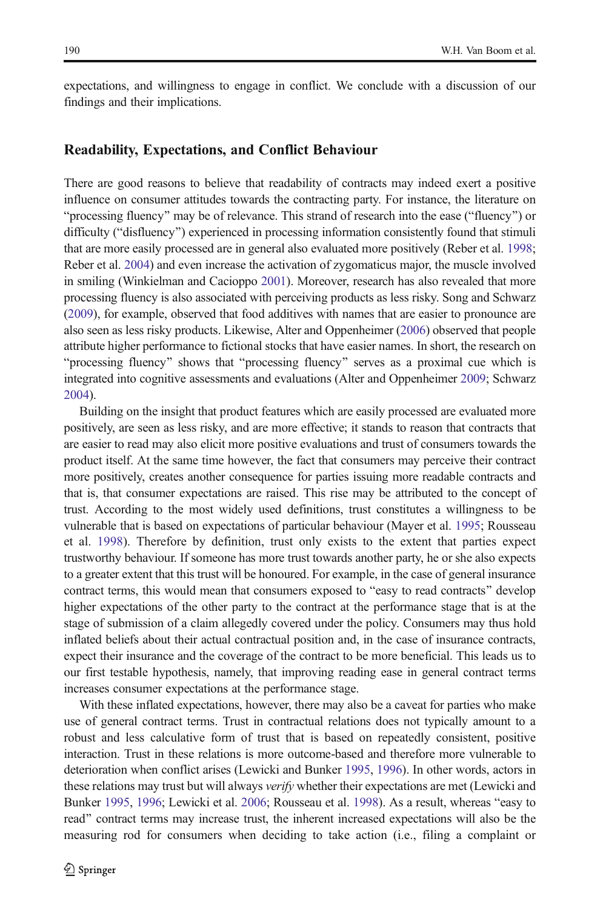expectations, and willingness to engage in conflict. We conclude with a discussion of our findings and their implications.

#### Readability, Expectations, and Conflict Behaviour

There are good reasons to believe that readability of contracts may indeed exert a positive influence on consumer attitudes towards the contracting party. For instance, the literature on "processing fluency" may be of relevance. This strand of research into the ease ("fluency") or difficulty ("disfluency") experienced in processing information consistently found that stimuli that are more easily processed are in general also evaluated more positively (Reber et al. [1998](#page-10-0); Reber et al. [2004\)](#page-10-0) and even increase the activation of zygomaticus major, the muscle involved in smiling (Winkielman and Cacioppo [2001\)](#page-10-0). Moreover, research has also revealed that more processing fluency is also associated with perceiving products as less risky. Song and Schwarz ([2009](#page-10-0)), for example, observed that food additives with names that are easier to pronounce are also seen as less risky products. Likewise, Alter and Oppenheimer [\(2006\)](#page-9-0) observed that people attribute higher performance to fictional stocks that have easier names. In short, the research on "processing fluency" shows that "processing fluency" serves as a proximal cue which is integrated into cognitive assessments and evaluations (Alter and Oppenheimer [2009](#page-9-0); Schwarz [2004](#page-10-0)).

Building on the insight that product features which are easily processed are evaluated more positively, are seen as less risky, and are more effective; it stands to reason that contracts that are easier to read may also elicit more positive evaluations and trust of consumers towards the product itself. At the same time however, the fact that consumers may perceive their contract more positively, creates another consequence for parties issuing more readable contracts and that is, that consumer expectations are raised. This rise may be attributed to the concept of trust. According to the most widely used definitions, trust constitutes a willingness to be vulnerable that is based on expectations of particular behaviour (Mayer et al. [1995](#page-10-0); Rousseau et al. [1998](#page-10-0)). Therefore by definition, trust only exists to the extent that parties expect trustworthy behaviour. If someone has more trust towards another party, he or she also expects to a greater extent that this trust will be honoured. For example, in the case of general insurance contract terms, this would mean that consumers exposed to "easy to read contracts" develop higher expectations of the other party to the contract at the performance stage that is at the stage of submission of a claim allegedly covered under the policy. Consumers may thus hold inflated beliefs about their actual contractual position and, in the case of insurance contracts, expect their insurance and the coverage of the contract to be more beneficial. This leads us to our first testable hypothesis, namely, that improving reading ease in general contract terms increases consumer expectations at the performance stage.

With these inflated expectations, however, there may also be a caveat for parties who make use of general contract terms. Trust in contractual relations does not typically amount to a robust and less calculative form of trust that is based on repeatedly consistent, positive interaction. Trust in these relations is more outcome-based and therefore more vulnerable to deterioration when conflict arises (Lewicki and Bunker [1995](#page-10-0), [1996\)](#page-10-0). In other words, actors in these relations may trust but will always *verify* whether their expectations are met (Lewicki and Bunker [1995](#page-10-0), [1996](#page-10-0); Lewicki et al. [2006](#page-10-0); Rousseau et al. [1998](#page-10-0)). As a result, whereas "easy to read" contract terms may increase trust, the inherent increased expectations will also be the measuring rod for consumers when deciding to take action (i.e., filing a complaint or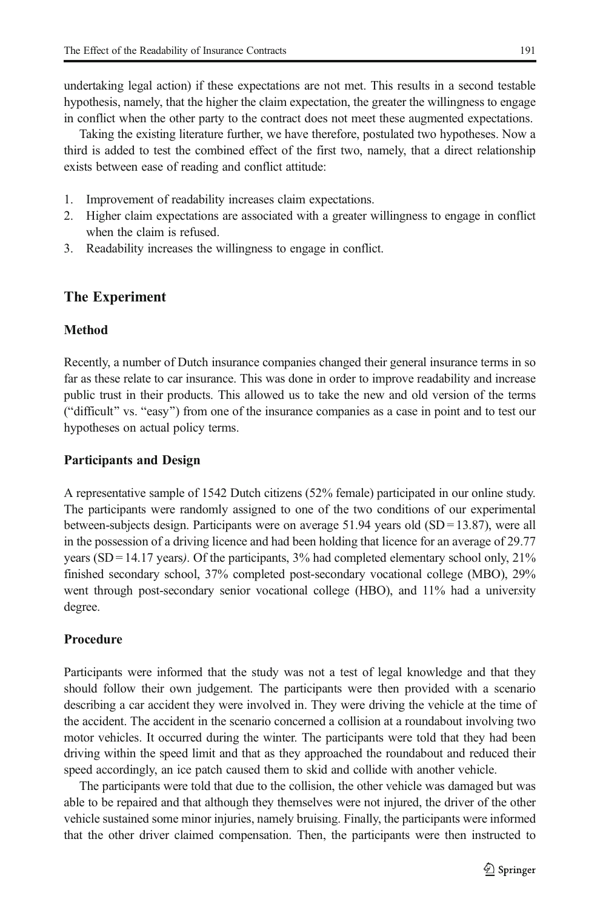undertaking legal action) if these expectations are not met. This results in a second testable hypothesis, namely, that the higher the claim expectation, the greater the willingness to engage in conflict when the other party to the contract does not meet these augmented expectations.

Taking the existing literature further, we have therefore, postulated two hypotheses. Now a third is added to test the combined effect of the first two, namely, that a direct relationship exists between ease of reading and conflict attitude:

- 1. Improvement of readability increases claim expectations.
- 2. Higher claim expectations are associated with a greater willingness to engage in conflict when the claim is refused.
- 3. Readability increases the willingness to engage in conflict.

## The Experiment

#### Method

Recently, a number of Dutch insurance companies changed their general insurance terms in so far as these relate to car insurance. This was done in order to improve readability and increase public trust in their products. This allowed us to take the new and old version of the terms ("difficult" vs. "easy") from one of the insurance companies as a case in point and to test our hypotheses on actual policy terms.

#### Participants and Design

A representative sample of 1542 Dutch citizens (52% female) participated in our online study. The participants were randomly assigned to one of the two conditions of our experimental between-subjects design. Participants were on average 51.94 years old  $(SD = 13.87)$ , were all in the possession of a driving licence and had been holding that licence for an average of 29.77 years (SD = 14.17 years). Of the participants,  $3\%$  had completed elementary school only,  $21\%$ finished secondary school, 37% completed post-secondary vocational college (MBO), 29% went through post-secondary senior vocational college (HBO), and 11% had a university degree.

### Procedure

Participants were informed that the study was not a test of legal knowledge and that they should follow their own judgement. The participants were then provided with a scenario describing a car accident they were involved in. They were driving the vehicle at the time of the accident. The accident in the scenario concerned a collision at a roundabout involving two motor vehicles. It occurred during the winter. The participants were told that they had been driving within the speed limit and that as they approached the roundabout and reduced their speed accordingly, an ice patch caused them to skid and collide with another vehicle.

The participants were told that due to the collision, the other vehicle was damaged but was able to be repaired and that although they themselves were not injured, the driver of the other vehicle sustained some minor injuries, namely bruising. Finally, the participants were informed that the other driver claimed compensation. Then, the participants were then instructed to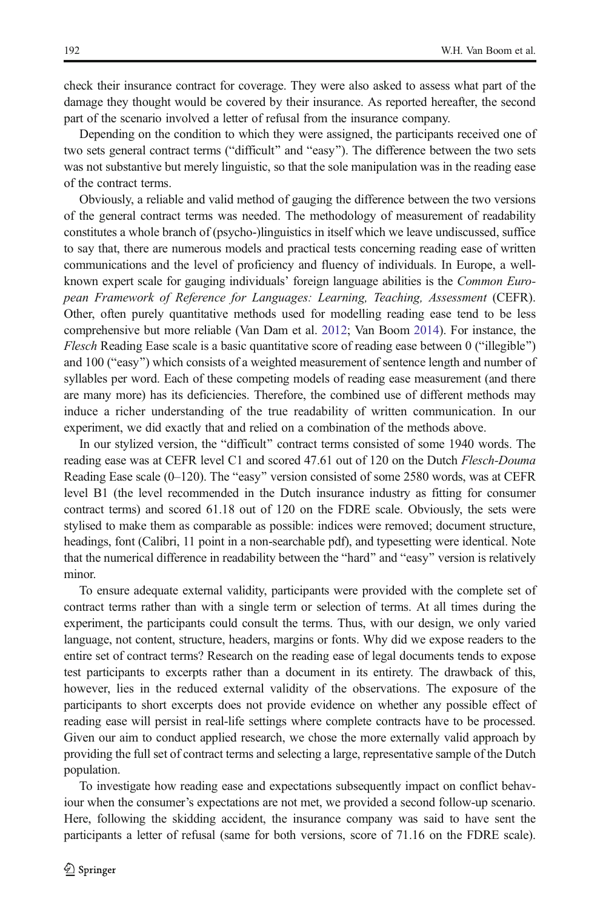check their insurance contract for coverage. They were also asked to assess what part of the damage they thought would be covered by their insurance. As reported hereafter, the second part of the scenario involved a letter of refusal from the insurance company.

Depending on the condition to which they were assigned, the participants received one of two sets general contract terms ("difficult" and "easy"). The difference between the two sets was not substantive but merely linguistic, so that the sole manipulation was in the reading ease of the contract terms.

Obviously, a reliable and valid method of gauging the difference between the two versions of the general contract terms was needed. The methodology of measurement of readability constitutes a whole branch of (psycho-)linguistics in itself which we leave undiscussed, suffice to say that, there are numerous models and practical tests concerning reading ease of written communications and the level of proficiency and fluency of individuals. In Europe, a wellknown expert scale for gauging individuals' foreign language abilities is the Common European Framework of Reference for Languages: Learning, Teaching, Assessment (CEFR). Other, often purely quantitative methods used for modelling reading ease tend to be less comprehensive but more reliable (Van Dam et al. [2012](#page-10-0); Van Boom [2014\)](#page-10-0). For instance, the *Flesch* Reading Ease scale is a basic quantitative score of reading ease between  $0$  ("illegible") and 100 ("easy") which consists of a weighted measurement of sentence length and number of syllables per word. Each of these competing models of reading ease measurement (and there are many more) has its deficiencies. Therefore, the combined use of different methods may induce a richer understanding of the true readability of written communication. In our experiment, we did exactly that and relied on a combination of the methods above.

In our stylized version, the "difficult" contract terms consisted of some 1940 words. The reading ease was at CEFR level C1 and scored 47.61 out of 120 on the Dutch Flesch-Douma Reading Ease scale  $(0-120)$ . The "easy" version consisted of some 2580 words, was at CEFR level B1 (the level recommended in the Dutch insurance industry as fitting for consumer contract terms) and scored 61.18 out of 120 on the FDRE scale. Obviously, the sets were stylised to make them as comparable as possible: indices were removed; document structure, headings, font (Calibri, 11 point in a non-searchable pdf), and typesetting were identical. Note that the numerical difference in readability between the "hard" and "easy" version is relatively minor.

To ensure adequate external validity, participants were provided with the complete set of contract terms rather than with a single term or selection of terms. At all times during the experiment, the participants could consult the terms. Thus, with our design, we only varied language, not content, structure, headers, margins or fonts. Why did we expose readers to the entire set of contract terms? Research on the reading ease of legal documents tends to expose test participants to excerpts rather than a document in its entirety. The drawback of this, however, lies in the reduced external validity of the observations. The exposure of the participants to short excerpts does not provide evidence on whether any possible effect of reading ease will persist in real-life settings where complete contracts have to be processed. Given our aim to conduct applied research, we chose the more externally valid approach by providing the full set of contract terms and selecting a large, representative sample of the Dutch population.

To investigate how reading ease and expectations subsequently impact on conflict behaviour when the consumer's expectations are not met, we provided a second follow-up scenario. Here, following the skidding accident, the insurance company was said to have sent the participants a letter of refusal (same for both versions, score of 71.16 on the FDRE scale).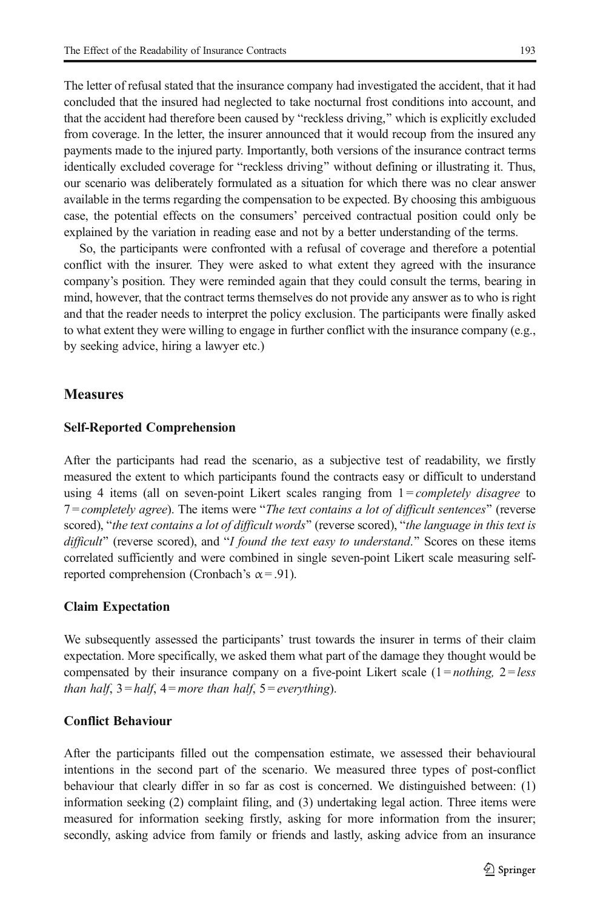The letter of refusal stated that the insurance company had investigated the accident, that it had concluded that the insured had neglected to take nocturnal frost conditions into account, and that the accident had therefore been caused by "reckless driving," which is explicitly excluded from coverage. In the letter, the insurer announced that it would recoup from the insured any payments made to the injured party. Importantly, both versions of the insurance contract terms identically excluded coverage for "reckless driving" without defining or illustrating it. Thus, our scenario was deliberately formulated as a situation for which there was no clear answer available in the terms regarding the compensation to be expected. By choosing this ambiguous case, the potential effects on the consumers' perceived contractual position could only be explained by the variation in reading ease and not by a better understanding of the terms.

So, the participants were confronted with a refusal of coverage and therefore a potential conflict with the insurer. They were asked to what extent they agreed with the insurance company's position. They were reminded again that they could consult the terms, bearing in mind, however, that the contract terms themselves do not provide any answer as to who is right and that the reader needs to interpret the policy exclusion. The participants were finally asked to what extent they were willing to engage in further conflict with the insurance company (e.g., by seeking advice, hiring a lawyer etc.)

### **Measures**

#### Self-Reported Comprehension

After the participants had read the scenario, as a subjective test of readability, we firstly measured the extent to which participants found the contracts easy or difficult to understand using 4 items (all on seven-point Likert scales ranging from  $1 = completely$  disagree to  $7 = completely$  agree). The items were "The text contains a lot of difficult sentences" (reverse scored), "the text contains a lot of difficult words" (reverse scored), "the language in this text is difficult" (reverse scored), and "I found the text easy to understand." Scores on these items correlated sufficiently and were combined in single seven-point Likert scale measuring selfreported comprehension (Cronbach's  $\alpha$  = .91).

#### Claim Expectation

We subsequently assessed the participants' trust towards the insurer in terms of their claim expectation. More specifically, we asked them what part of the damage they thought would be compensated by their insurance company on a five-point Likert scale  $(1 = nothing, 2 = less$ than half,  $3 = half$ ,  $4 = more$  than half,  $5 = everything$ ).

## Conflict Behaviour

After the participants filled out the compensation estimate, we assessed their behavioural intentions in the second part of the scenario. We measured three types of post-conflict behaviour that clearly differ in so far as cost is concerned. We distinguished between: (1) information seeking (2) complaint filing, and (3) undertaking legal action. Three items were measured for information seeking firstly, asking for more information from the insurer; secondly, asking advice from family or friends and lastly, asking advice from an insurance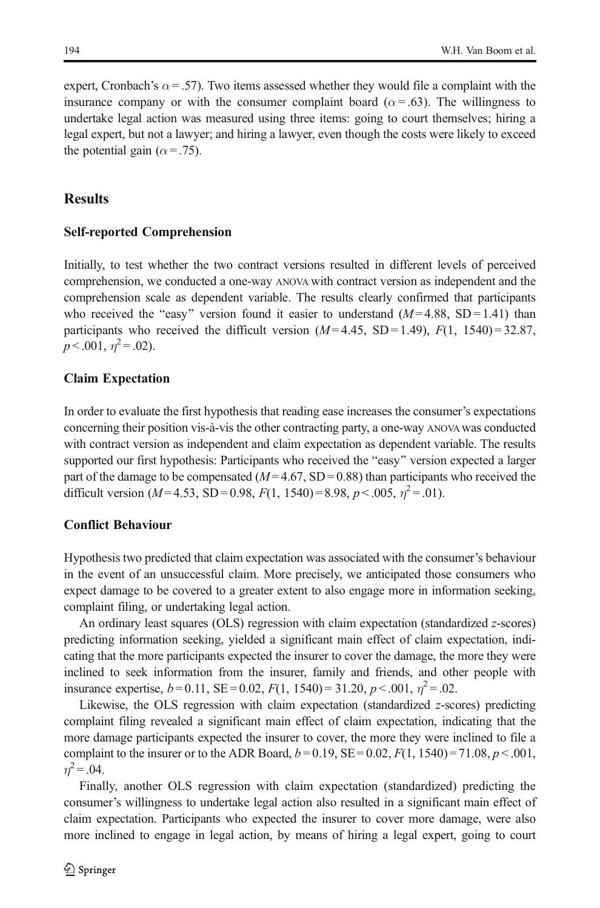expert, Cronbach's  $\alpha$  = .57). Two items assessed whether they would file a complaint with the insurance company or with the consumer complaint board ( $\alpha$  = .63). The willingness to undertake legal action was measured using three items: going to court themselves; hiring a legal expert, but not a lawyer; and hiring a lawyer, even though the costs were likely to exceed the potential gain ( $\alpha$  = .75).

## **Results**

## Self-reported Comprehension

Initially, to test whether the two contract versions resulted in different levels of perceived comprehension, we conducted a one-way ANOVA with contract version as independent and the comprehension scale as dependent variable. The results clearly confirmed that participants who received the "easy" version found it easier to understand  $(M = 4.88, SD = 1.41)$  than participants who received the difficult version  $(M=4.45, SD=1.49)$ ,  $F(1, 1540) = 32.87$ ,  $p < .001, \eta^2 = .02$ ).

## Claim Expectation

In order to evaluate the first hypothesis that reading ease increases the consumer's expectations concerning their position vis-à-vis the other contracting party, a one-way ANOVA was conducted with contract version as independent and claim expectation as dependent variable. The results supported our first hypothesis: Participants who received the "easy" version expected a larger part of the damage to be compensated  $(M=4.67, SD=0.88)$  than participants who received the difficult version ( $M = 4.53$ , SD = 0.98,  $F(1, 1540) = 8.98$ ,  $p < .005$ ,  $\eta^2 = .01$ ).

## Conflict Behaviour

Hypothesis two predicted that claim expectation was associated with the consumer's behaviour in the event of an unsuccessful claim. More precisely, we anticipated those consumers who expect damage to be covered to a greater extent to also engage more in information seeking, complaint filing, or undertaking legal action.

An ordinary least squares (OLS) regression with claim expectation (standardized z-scores) predicting information seeking, yielded a significant main effect of claim expectation, indicating that the more participants expected the insurer to cover the damage, the more they were inclined to seek information from the insurer, family and friends, and other people with insurance expertise,  $b = 0.11$ , SE = 0.02,  $F(1, 1540) = 31.20$ ,  $p < .001$ ,  $\eta^2 = .02$ .

Likewise, the OLS regression with claim expectation (standardized z-scores) predicting complaint filing revealed a significant main effect of claim expectation, indicating that the more damage participants expected the insurer to cover, the more they were inclined to file a complaint to the insurer or to the ADR Board,  $b = 0.19$ ,  $SE = 0.02$ ,  $F(1, 1540) = 71.08$ ,  $p < .001$ ,  $n^2$  = .04.

Finally, another OLS regression with claim expectation (standardized) predicting the consumer's willingness to undertake legal action also resulted in a significant main effect of claim expectation. Participants who expected the insurer to cover more damage, were also more inclined to engage in legal action, by means of hiring a legal expert, going to court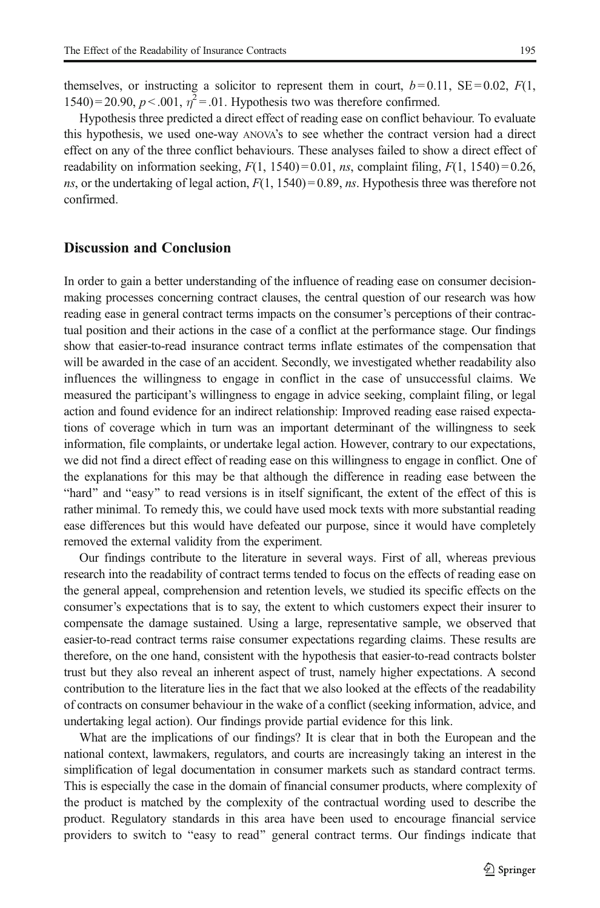themselves, or instructing a solicitor to represent them in court,  $b = 0.11$ ,  $SE = 0.02$ ,  $F(1)$ , 1540) = 20.90,  $p < .001$ ,  $\eta^2 = .01$ . Hypothesis two was therefore confirmed.

Hypothesis three predicted a direct effect of reading ease on conflict behaviour. To evaluate this hypothesis, we used one-way ANOVA's to see whether the contract version had a direct effect on any of the three conflict behaviours. These analyses failed to show a direct effect of readability on information seeking,  $F(1, 1540) = 0.01$ , ns, complaint filing,  $F(1, 1540) = 0.26$ , ns, or the undertaking of legal action,  $F(1, 1540) = 0.89$ , ns. Hypothesis three was therefore not confirmed.

### Discussion and Conclusion

In order to gain a better understanding of the influence of reading ease on consumer decisionmaking processes concerning contract clauses, the central question of our research was how reading ease in general contract terms impacts on the consumer's perceptions of their contractual position and their actions in the case of a conflict at the performance stage. Our findings show that easier-to-read insurance contract terms inflate estimates of the compensation that will be awarded in the case of an accident. Secondly, we investigated whether readability also influences the willingness to engage in conflict in the case of unsuccessful claims. We measured the participant's willingness to engage in advice seeking, complaint filing, or legal action and found evidence for an indirect relationship: Improved reading ease raised expectations of coverage which in turn was an important determinant of the willingness to seek information, file complaints, or undertake legal action. However, contrary to our expectations, we did not find a direct effect of reading ease on this willingness to engage in conflict. One of the explanations for this may be that although the difference in reading ease between the "hard" and "easy" to read versions is in itself significant, the extent of the effect of this is rather minimal. To remedy this, we could have used mock texts with more substantial reading ease differences but this would have defeated our purpose, since it would have completely removed the external validity from the experiment.

Our findings contribute to the literature in several ways. First of all, whereas previous research into the readability of contract terms tended to focus on the effects of reading ease on the general appeal, comprehension and retention levels, we studied its specific effects on the consumer's expectations that is to say, the extent to which customers expect their insurer to compensate the damage sustained. Using a large, representative sample, we observed that easier-to-read contract terms raise consumer expectations regarding claims. These results are therefore, on the one hand, consistent with the hypothesis that easier-to-read contracts bolster trust but they also reveal an inherent aspect of trust, namely higher expectations. A second contribution to the literature lies in the fact that we also looked at the effects of the readability of contracts on consumer behaviour in the wake of a conflict (seeking information, advice, and undertaking legal action). Our findings provide partial evidence for this link.

What are the implications of our findings? It is clear that in both the European and the national context, lawmakers, regulators, and courts are increasingly taking an interest in the simplification of legal documentation in consumer markets such as standard contract terms. This is especially the case in the domain of financial consumer products, where complexity of the product is matched by the complexity of the contractual wording used to describe the product. Regulatory standards in this area have been used to encourage financial service providers to switch to "easy to read" general contract terms. Our findings indicate that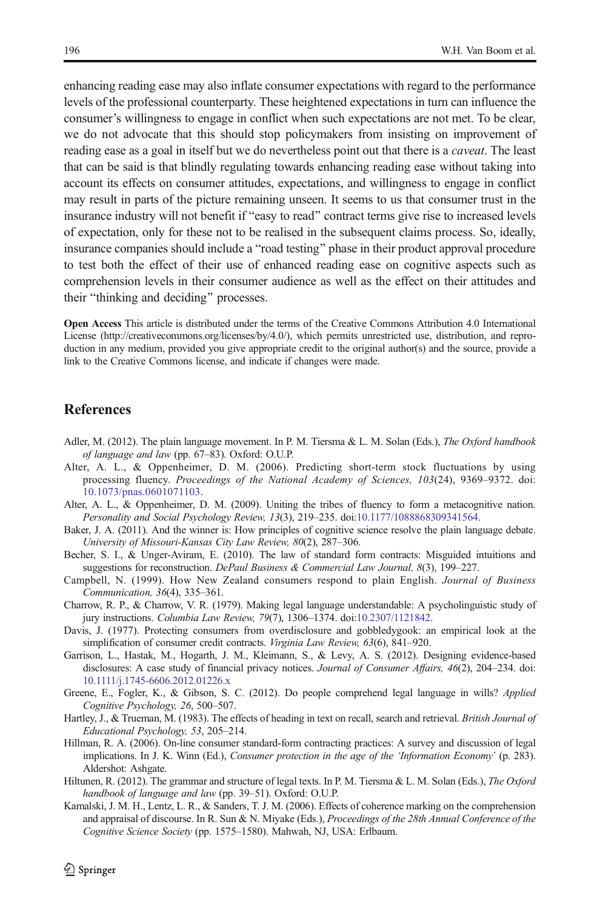<span id="page-9-0"></span>enhancing reading ease may also inflate consumer expectations with regard to the performance levels of the professional counterparty. These heightened expectations in turn can influence the consumer's willingness to engage in conflict when such expectations are not met. To be clear, we do not advocate that this should stop policymakers from insisting on improvement of reading ease as a goal in itself but we do nevertheless point out that there is a *caveat*. The least that can be said is that blindly regulating towards enhancing reading ease without taking into account its effects on consumer attitudes, expectations, and willingness to engage in conflict may result in parts of the picture remaining unseen. It seems to us that consumer trust in the insurance industry will not benefit if "easy to read" contract terms give rise to increased levels of expectation, only for these not to be realised in the subsequent claims process. So, ideally, insurance companies should include a "road testing" phase in their product approval procedure to test both the effect of their use of enhanced reading ease on cognitive aspects such as comprehension levels in their consumer audience as well as the effect on their attitudes and their "thinking and deciding" processes.

Open Access This article is distributed under the terms of the Creative Commons Attribution 4.0 International License (http://creativecommons.org/licenses/by/4.0/), which permits unrestricted use, distribution, and reproduction in any medium, provided you give appropriate credit to the original author(s) and the source, provide a link to the Creative Commons license, and indicate if changes were made.

## **References**

- Adler, M. (2012). The plain language movement. In P. M. Tiersma & L. M. Solan (Eds.), The Oxford handbook of language and law (pp. 67–83). Oxford: O.U.P.
- Alter, A. L., & Oppenheimer, D. M. (2006). Predicting short-term stock fluctuations by using processing fluency. Proceedings of the National Academy of Sciences, 103(24), 9369–9372. doi: [10.1073/pnas.0601071103.](http://dx.doi.org/10.1073/pnas.0601071103)
- Alter, A. L., & Oppenheimer, D. M. (2009). Uniting the tribes of fluency to form a metacognitive nation. Personality and Social Psychology Review, 13(3), 219–235. doi[:10.1177/1088868309341564](http://dx.doi.org/10.1177/1088868309341564).
- Baker, J. A. (2011). And the winner is: How principles of cognitive science resolve the plain language debate. University of Missouri-Kansas City Law Review, 80(2), 287–306.
- Becher, S. I., & Unger-Aviram, E. (2010). The law of standard form contracts: Misguided intuitions and suggestions for reconstruction. DePaul Business & Commercial Law Journal, 8(3), 199–227.
- Campbell, N. (1999). How New Zealand consumers respond to plain English. Journal of Business Communication, 36(4), 335–361.
- Charrow, R. P., & Charrow, V. R. (1979). Making legal language understandable: A psycholinguistic study of jury instructions. Columbia Law Review, 79(7), 1306–1374. doi[:10.2307/1121842](http://dx.doi.org/10.2307/1121842).
- Davis, J. (1977). Protecting consumers from overdisclosure and gobbledygook: an empirical look at the simplification of consumer credit contracts. Virginia Law Review, 63(6), 841–920.
- Garrison, L., Hastak, M., Hogarth, J. M., Kleimann, S., & Levy, A. S. (2012). Designing evidence-based disclosures: A case study of financial privacy notices. Journal of Consumer Affairs, 46(2), 204–234. doi: [10.1111/j.1745-6606.2012.01226.x](http://dx.doi.org/10.1111/j.1745-6606.2012.01226.x)
- Greene, E., Fogler, K., & Gibson, S. C. (2012). Do people comprehend legal language in wills? Applied Cognitive Psychology, 26, 500–507.
- Hartley, J., & Trueman, M. (1983). The effects of heading in text on recall, search and retrieval. *British Journal of* Educational Psychology, 53, 205–214.
- Hillman, R. A. (2006). On-line consumer standard-form contracting practices: A survey and discussion of legal implications. In J. K. Winn (Ed.), Consumer protection in the age of the 'Information Economy' (p. 283). Aldershot: Ashgate.
- Hiltunen, R. (2012). The grammar and structure of legal texts. In P. M. Tiersma & L. M. Solan (Eds.), The Oxford handbook of language and law (pp. 39-51). Oxford: O.U.P.
- Kamalski, J. M. H., Lentz, L. R., & Sanders, T. J. M. (2006). Effects of coherence marking on the comprehension and appraisal of discourse. In R. Sun & N. Miyake (Eds.), *Proceedings of the 28th Annual Conference of the* Cognitive Science Society (pp. 1575–1580). Mahwah, NJ, USA: Erlbaum.